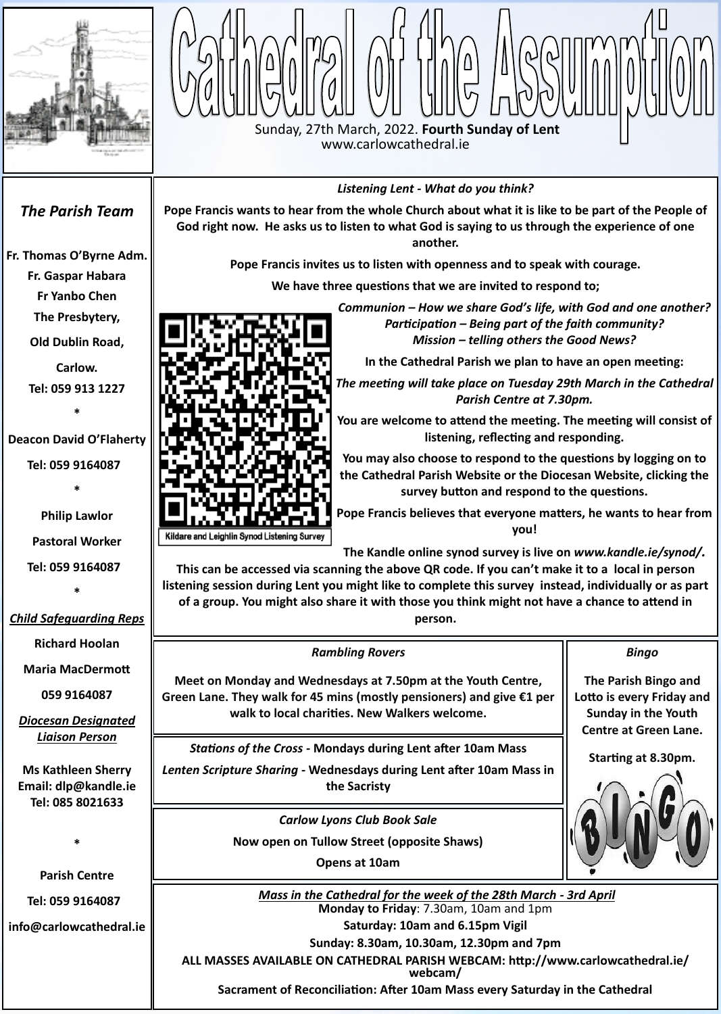



*Listening Lent - What do you think?*

le<br>m **We have three questions that we are invited to respond to;**  *Communion – How we share God's life, with God and one another? Participation – Being part of the faith community?* 

**Pope Francis wants to hear from the whole Church about what it is like to be part of the People of** 

**God right now. He asks us to listen to what God is saying to us through the experience of one another.** 

**Pope Francis invites us to listen with openness and to speak with courage.** 

*Mission – telling others the Good News?*

**In the Cathedral Parish we plan to have an open meeting:** 

*The meeting will take place on Tuesday 29th March in the Cathedral Parish Centre at 7.30pm.* 

**You are welcome to attend the meeting. The meeting will consist of listening, reflecting and responding.**

**You may also choose to respond to the questions by logging on to the Cathedral Parish Website or the Diocesan Website, clicking the survey button and respond to the questions.**



**Pope Francis believes that everyone matters, he wants to hear from you!**

**The Kandle online synod survey is live on** *www.kandle.ie/synod/.*

**This can be accessed via scanning the above QR code. If you can't make it to a local in person listening session during Lent you might like to complete this survey instead, individually or as part of a group. You might also share it with those you think might not have a chance to attend in person.**

## *The Parish Team*

**[Fr. Thomas O](http://www.carlowcathedral.ie/2017/09/fr-padraig-shelley-c-c/)'Byrne Adm.**

**Fr. Gaspar Habara**

**Fr Yanbo Chen**

**The Presbytery,** 

**Old Dublin Road,** 

**Carlow. Tel: 059 913 1227**

**\***

**Deacon David O'Flaherty**

**Tel: 059 9164087** 

**\***

**Philip Lawlor**

**Pastoral Worker**

**Tel: 059 9164087** 

**\***

## *Child Safeguarding Reps*

**Richard Hoolan**

**Maria MacDermott**

**059 9164087**

*Diocesan Designated Liaison Person*



*Stations of the Cross -* **Mondays during Lent after 10am Mass**

*Bingo*

**The Parish Bingo and Lotto is every Friday and Sunday in the Youth Centre at Green Lane.**

*Rambling Rovers* **Meet on Monday and Wednesdays at 7.50pm at the Youth Centre, Green Lane. They walk for 45 mins (mostly pensioners) and give €1 per walk to local charities. New Walkers welcome.**